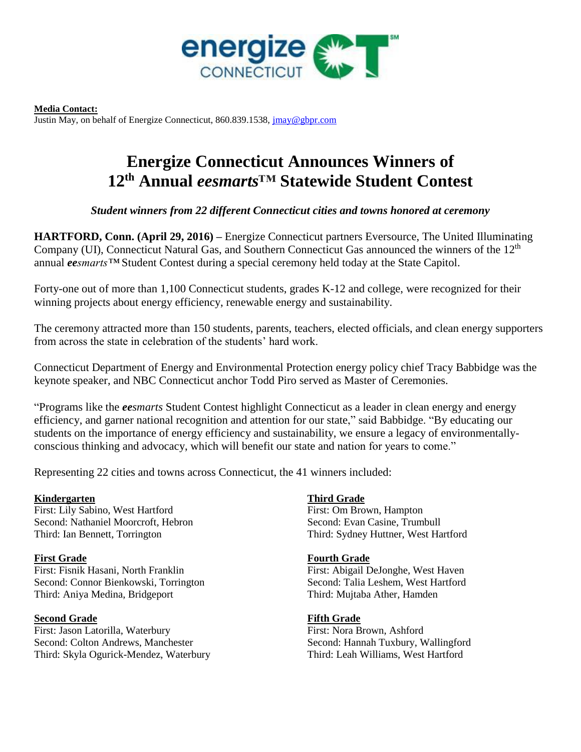

**Media Contact:** Justin May, on behalf of Energize Connecticut, 860.839.1538, [jmay@gbpr.com](mailto:jmay@gbpr.com)

# **Energize Connecticut Announces Winners of 12th Annual** *eesmarts™* **Statewide Student Contest**

*Student winners from 22 different Connecticut cities and towns honored at ceremony*

**HARTFORD, Conn. (April 29, 2016) –** Energize Connecticut partners Eversource, The United Illuminating Company (UI), Connecticut Natural Gas, and Southern Connecticut Gas announced the winners of the 12th annual *eesmarts™* Student Contest during a special ceremony held today at the State Capitol.

Forty-one out of more than 1,100 Connecticut students, grades K-12 and college, were recognized for their winning projects about energy efficiency, renewable energy and sustainability.

The ceremony attracted more than 150 students, parents, teachers, elected officials, and clean energy supporters from across the state in celebration of the students' hard work.

Connecticut Department of Energy and Environmental Protection energy policy chief Tracy Babbidge was the keynote speaker, and NBC Connecticut anchor Todd Piro served as Master of Ceremonies.

"Programs like the *eesmarts* Student Contest highlight Connecticut as a leader in clean energy and energy efficiency, and garner national recognition and attention for our state," said Babbidge. "By educating our students on the importance of energy efficiency and sustainability, we ensure a legacy of environmentallyconscious thinking and advocacy, which will benefit our state and nation for years to come."

Representing 22 cities and towns across Connecticut, the 41 winners included:

# **Kindergarten**

First: Lily Sabino, West Hartford Second: Nathaniel Moorcroft, Hebron Third: Ian Bennett, Torrington

# **First Grade**

First: Fisnik Hasani, North Franklin Second: Connor Bienkowski, Torrington Third: Aniya Medina, Bridgeport

# **Second Grade**

First: Jason Latorilla, Waterbury Second: Colton Andrews, Manchester Third: Skyla Ogurick-Mendez, Waterbury

# **Third Grade**

First: Om Brown, Hampton Second: Evan Casine, Trumbull Third: Sydney Huttner, West Hartford

# **Fourth Grade**

First: Abigail DeJonghe, West Haven Second: Talia Leshem, West Hartford Third: Mujtaba Ather, Hamden

# **Fifth Grade**

First: Nora Brown, Ashford Second: Hannah Tuxbury, Wallingford Third: Leah Williams, West Hartford